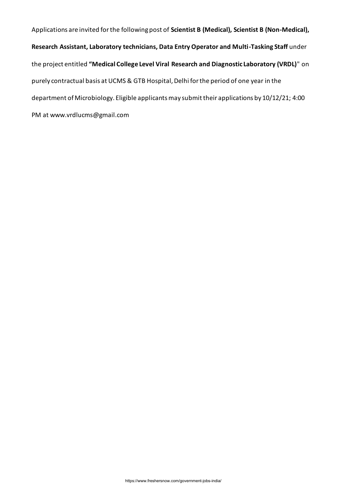Applications are invited for the following post of **Scientist B (Medical), Scientist B (Non-Medical), Research Assistant, Laboratory technicians, Data Entry Operator and Multi-Tasking Staff** under the project entitled **"Medical College Level Viral Research and Diagnostic Laboratory (VRDL)**" on purely contractual basis at UCMS & GTB Hospital, Delhi for the period of one year in the department of Microbiology. Eligible applicants may submit their applications by 10/12/21; 4:00 PM at www.vrdlucms@gmail.com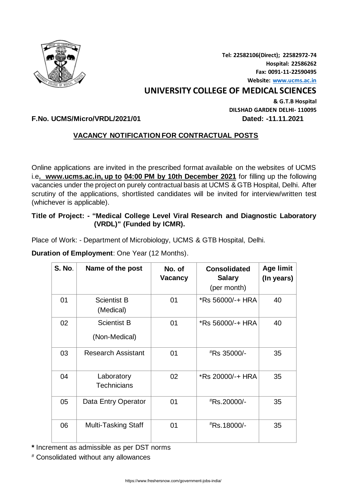

**Tel: 22582106(Direct); 22582972-74 Hospital: 22586262 Fax: 0091-11-22590495 Website[: www.ucms.ac.in](http://www.ucms.ac.in/)**

# **UNIVERSITY COLLEGE OF MEDICAL SCIENCES**

**& G.T.B Hospital DILSHAD GARDEN DELHI- 110095**

# **F.No. UCMS/Micro/VRDL/2021/01 Dated: -11.11.2021**

# **VACANCY NOTIFICATION FOR CONTRACTUAL POSTS**

Online applications are invited in the prescribed format available on the websites of UCMS i.e**. www.ucms.ac.in, up to 04:00 PM by 10th December 2021** for filling up the following vacancies under the project on purely contractual basis at UCMS & GTB Hospital, Delhi. After scrutiny of the applications, shortlisted candidates will be invited for interview/written test (whichever is applicable).

**Title of Project: - "Medical College Level Viral Research and Diagnostic Laboratory (VRDL)" (Funded by ICMR).** 

Place of Work: - Department of Microbiology, UCMS & GTB Hospital, Delhi.

**Duration of Employment**: One Year (12 Months).

| <b>S. No.</b> | Name of the post                    | No. of<br><b>Vacancy</b> | <b>Consolidated</b><br><b>Salary</b><br>(per month) | <b>Age limit</b><br>(In years) |
|---------------|-------------------------------------|--------------------------|-----------------------------------------------------|--------------------------------|
| 01            | <b>Scientist B</b><br>(Medical)     | 01                       | *Rs 56000/-+ HRA                                    | 40                             |
| 02            | <b>Scientist B</b><br>(Non-Medical) | 01                       | *Rs 56000/-+ HRA                                    | 40                             |
| 03            | <b>Research Assistant</b>           | 01                       | #Rs 35000/-                                         | 35                             |
| 04            | Laboratory<br><b>Technicians</b>    | 02                       | *Rs 20000/-+ HRA                                    | 35                             |
| 05            | Data Entry Operator                 | 01                       | *Rs.20000/-                                         | 35                             |
| 06            | <b>Multi-Tasking Staff</b>          | 01                       | <sup>#</sup> Rs.18000/-                             | 35                             |

**\*** Increment as admissible as per DST norms

# Consolidated without any allowances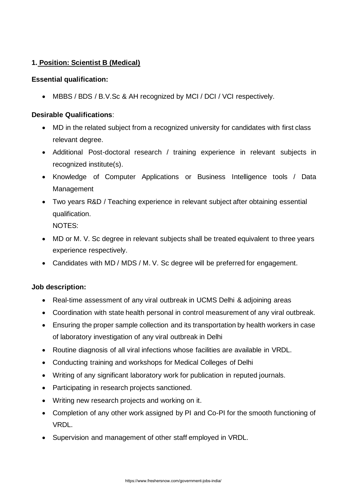# **1. Position: Scientist B (Medical)**

# **Essential qualification:**

• MBBS / BDS / B.V.Sc & AH recognized by MCI / DCI / VCI respectively.

# **Desirable Qualifications**:

- MD in the related subject from a recognized university for candidates with first class relevant degree.
- Additional Post-doctoral research / training experience in relevant subjects in recognized institute(s).
- Knowledge of Computer Applications or Business Intelligence tools / Data Management
- Two years R&D / Teaching experience in relevant subject after obtaining essential qualification.

NOTES:

- MD or M. V. Sc degree in relevant subjects shall be treated equivalent to three years experience respectively.
- Candidates with MD / MDS / M. V. Sc degree will be preferred for engagement.

# **Job description:**

- Real-time assessment of any viral outbreak in UCMS Delhi & adjoining areas
- Coordination with state health personal in control measurement of any viral outbreak.
- Ensuring the proper sample collection and its transportation by health workers in case of laboratory investigation of any viral outbreak in Delhi
- Routine diagnosis of all viral infections whose facilities are available in VRDL.
- Conducting training and workshops for Medical Colleges of Delhi
- Writing of any significant laboratory work for publication in reputed journals.
- Participating in research projects sanctioned.
- Writing new research projects and working on it.
- Completion of any other work assigned by PI and Co-PI for the smooth functioning of VRDL.
- Supervision and management of other staff employed in VRDL.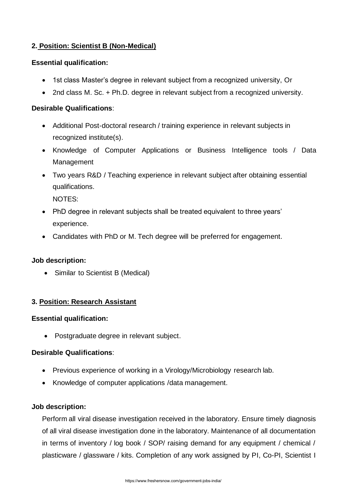# **2. Position: Scientist B (Non-Medical)**

# **Essential qualification:**

- 1st class Master's degree in relevant subject from a recognized university, Or
- 2nd class M. Sc. + Ph.D. degree in relevant subject from a recognized university.

# **Desirable Qualifications**:

- Additional Post-doctoral research / training experience in relevant subjects in recognized institute(s).
- Knowledge of Computer Applications or Business Intelligence tools / Data Management
- Two years R&D / Teaching experience in relevant subject after obtaining essential qualifications.

NOTES:

- PhD degree in relevant subjects shall be treated equivalent to three years' experience.
- Candidates with PhD or M. Tech degree will be preferred for engagement.

# **Job description:**

• Similar to Scientist B (Medical)

# **3. Position: Research Assistant**

# **Essential qualification:**

• Postgraduate degree in relevant subject.

# **Desirable Qualifications**:

- Previous experience of working in a Virology/Microbiology research lab.
- Knowledge of computer applications /data management.

# **Job description:**

Perform all viral disease investigation received in the laboratory. Ensure timely diagnosis of all viral disease investigation done in the laboratory. Maintenance of all documentation in terms of inventory / log book / SOP/ raising demand for any equipment / chemical / plasticware / glassware / kits. Completion of any work assigned by PI, Co-PI, Scientist I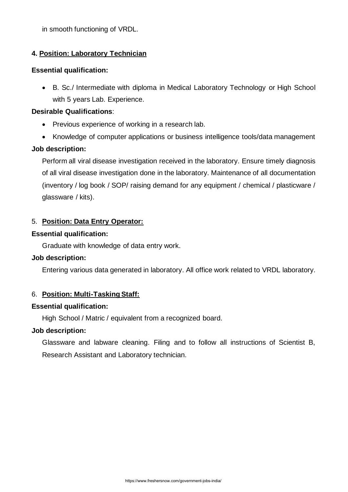# **4. Position: Laboratory Technician**

#### **Essential qualification:**

• B. Sc./ Intermediate with diploma in Medical Laboratory Technology or High School with 5 years Lab. Experience.

# **Desirable Qualifications**:

- Previous experience of working in a research lab.
- Knowledge of computer applications or business intelligence tools/data management

# **Job description:**

Perform all viral disease investigation received in the laboratory. Ensure timely diagnosis of all viral disease investigation done in the laboratory. Maintenance of all documentation (inventory / log book / SOP/ raising demand for any equipment / chemical / plasticware / glassware / kits).

# 5. **Position: Data Entry Operator:**

# **Essential qualification:**

Graduate with knowledge of data entry work.

# **Job description:**

Entering various data generated in laboratory. All office work related to VRDL laboratory.

# 6. **Position: Multi-Tasking Staff:**

# **Essential qualification:**

High School / Matric / equivalent from a recognized board.

# **Job description:**

Glassware and labware cleaning. Filing and to follow all instructions of Scientist B, Research Assistant and Laboratory technician.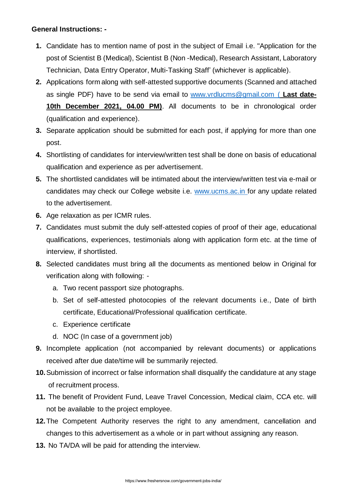# **General Instructions: -**

- **1.** Candidate has to mention name of post in the subject of Email i.e. "Application for the post of Scientist B (Medical), Scientist B (Non -Medical), Research Assistant, Laboratory Technician, Data Entry Operator, Multi-Tasking Staff' (whichever is applicable).
- **2.** Applications form along with self-attested supportive documents (Scanned and attached as single PDF) have to be send via email to [www.vrdlucms@gmail.com](http://www.vrdlucms@gmail.com) ( **Last date-10th December 2021, 04.00 PM)**. All documents to be in chronological order (qualification and experience).
- **3.** Separate application should be submitted for each post, if applying for more than one post.
- **4.** Shortlisting of candidates for interview/written test shall be done on basis of educational qualification and experience as per advertisement.
- **5.** The shortlisted candidates will be intimated about the interview/written test via e-mail or candidates may check our College website i.e. [www.ucms.ac.in](http://www.ucms.ac.in/) for any update related to the advertisement.
- **6.** Age relaxation as per ICMR rules.
- **7.** Candidates must submit the duly self-attested copies of proof of their age, educational qualifications, experiences, testimonials along with application form etc. at the time of interview, if shortlisted.
- **8.** Selected candidates must bring all the documents as mentioned below in Original for verification along with following:
	- a. Two recent passport size photographs.
	- b. Set of self-attested photocopies of the relevant documents i.e., Date of birth certificate, Educational/Professional qualification certificate.
	- c. Experience certificate
	- d. NOC (In case of a government job)
- **9.** Incomplete application (not accompanied by relevant documents) or applications received after due date/time will be summarily rejected.
- **10.**Submission of incorrect or false information shall disqualify the candidature at any stage of recruitment process.
- **11.** The benefit of Provident Fund, Leave Travel Concession, Medical claim, CCA etc. will not be available to the project employee.
- **12.**The Competent Authority reserves the right to any amendment, cancellation and changes to this advertisement as a whole or in part without assigning any reason.
- **13.** No TA/DA will be paid for attending the interview.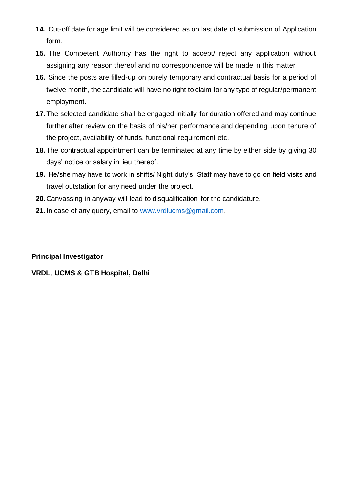- **14.** Cut-off date for age limit will be considered as on last date of submission of Application form.
- **15.** The Competent Authority has the right to accept/ reject any application without assigning any reason thereof and no correspondence will be made in this matter
- **16.** Since the posts are filled-up on purely temporary and contractual basis for a period of twelve month, the candidate will have no right to claim for any type of regular/permanent employment.
- **17.**The selected candidate shall be engaged initially for duration offered and may continue further after review on the basis of his/her performance and depending upon tenure of the project, availability of funds, functional requirement etc.
- **18.**The contractual appointment can be terminated at any time by either side by giving 30 days' notice or salary in lieu thereof.
- **19.** He/she may have to work in shifts/ Night duty's. Staff may have to go on field visits and travel outstation for any need under the project.
- **20.**Canvassing in anyway will lead to disqualification for the candidature.
- **21.**In case of any query, email to [www.vrdlucms@gmail.com.](http://www.vrdlucms@gmail.com)

# **Principal Investigator**

# **VRDL, UCMS & GTB Hospital, Delhi**